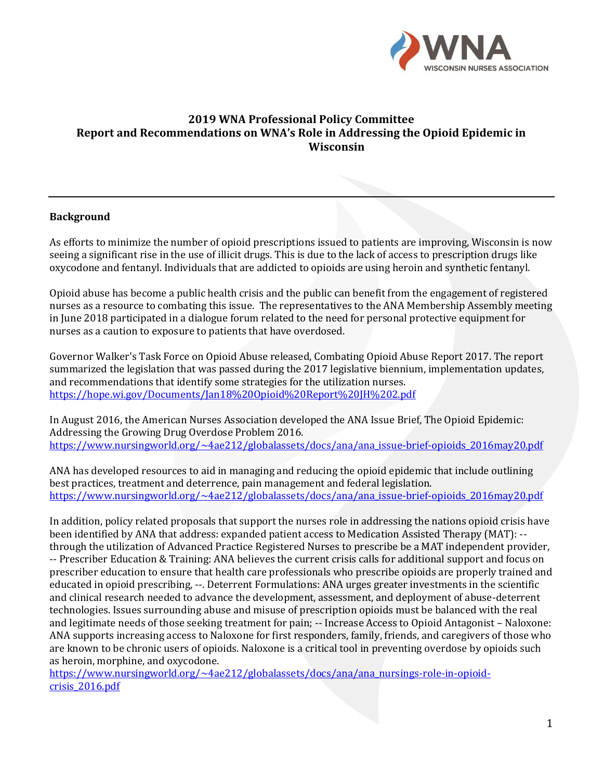

### **2019 WNA Professional Policy Committee Report and Recommendations on WNA's Role in Addressing the Opioid Epidemic in Wisconsin**

#### **Background**

As efforts to minimize the number of opioid prescriptions issued to patients are improving, Wisconsin is now seeing a significant rise in the use of illicit drugs. This is due to the lack of access to prescription drugs like oxycodone and fentanyl. Individuals that are addicted to opioids are using heroin and synthetic fentanyl.

Opioid abuse has become a public health crisis and the public can benefit from the engagement of registered nurses as a resource to combating this issue. The representatives to the ANA Membership Assembly meeting in June 2018 participated in a dialogue forum related to the need for personal protective equipment for nurses as a caution to exposure to patients that have overdosed.

Governor Walker's Task Force on Opioid Abuse released, Combating Opioid Abuse Report 2017. The report summarized the legislation that was passed during the 2017 legislative biennium, implementation updates, and recommendations that identify some strategies for the utilization nurses. <https://hope.wi.gov/Documents/Jan18%20Opioid%20Report%20JH%202.pdf>

In August 2016, the American Nurses Association developed the ANA Issue Brief, The Opioid Epidemic: Addressing the Growing Drug Overdose Problem 2016. [https://www.nursingworld.org/~4ae212/globalassets/docs/ana/ana\\_issue-brief-opioids\\_2016may20.pdf](https://www.nursingworld.org/~4ae212/globalassets/docs/ana/ana_issue-brief-opioids_2016may20.pdf)

ANA has developed resources to aid in managing and reducing the opioid epidemic that include outlining best practices, treatment and deterrence, pain management and federal legislation. [https://www.nursingworld.org/~4ae212/globalassets/docs/ana/ana\\_issue-brief-opioids\\_2016may20.pdf](https://www.nursingworld.org/~4ae212/globalassets/docs/ana/ana_issue-brief-opioids_2016may20.pdf)

In addition, policy related proposals that support the nurses role in addressing the nations opioid crisis have been identified by ANA that address: expanded patient access to Medication Assisted Therapy (MAT): - through the utilization of Advanced Practice Registered Nurses to prescribe be a MAT independent provider, -- Prescriber Education & Training: ANA believes the current crisis calls for additional support and focus on prescriber education to ensure that health care professionals who prescribe opioids are properly trained and educated in opioid prescribing, --. Deterrent Formulations: ANA urges greater investments in the scientific and clinical research needed to advance the development, assessment, and deployment of abuse-deterrent technologies. Issues surrounding abuse and misuse of prescription opioids must be balanced with the real and legitimate needs of those seeking treatment for pain; -- Increase Access to Opioid Antagonist – Naloxone: ANA supports increasing access to Naloxone for first responders, family, friends, and caregivers of those who are known to be chronic users of opioids. Naloxone is a critical tool in preventing overdose by opioids such as heroin, morphine, and oxycodone.

[https://www.nursingworld.org/~4ae212/globalassets/docs/ana/ana\\_nursings-role-in-opioid](https://www.nursingworld.org/~4ae212/globalassets/docs/ana/ana_nursings-role-in-opioid-crisis_2016.pdf)[crisis\\_2016.pdf](https://www.nursingworld.org/~4ae212/globalassets/docs/ana/ana_nursings-role-in-opioid-crisis_2016.pdf)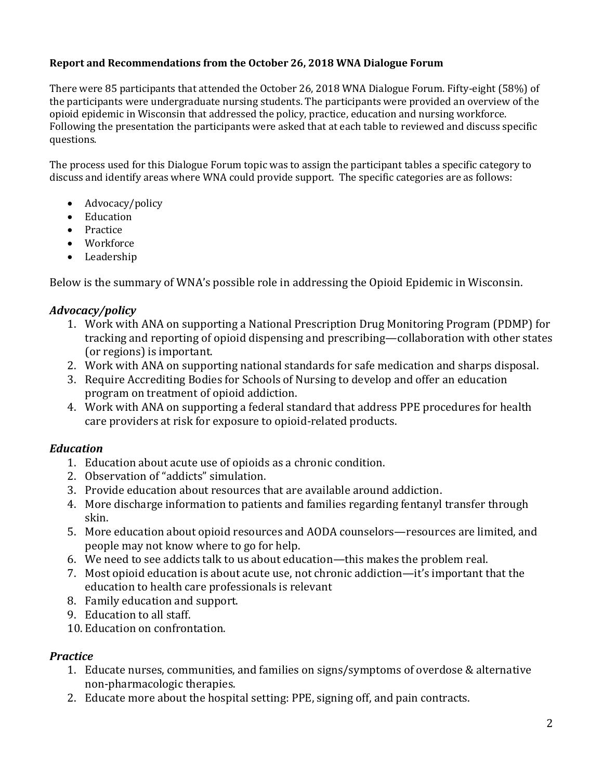### **Report and Recommendations from the October 26, 2018 WNA Dialogue Forum**

There were 85 participants that attended the October 26, 2018 WNA Dialogue Forum. Fifty-eight (58%) of the participants were undergraduate nursing students. The participants were provided an overview of the opioid epidemic in Wisconsin that addressed the policy, practice, education and nursing workforce. Following the presentation the participants were asked that at each table to reviewed and discuss specific questions.

The process used for this Dialogue Forum topic was to assign the participant tables a specific category to discuss and identify areas where WNA could provide support. The specific categories are as follows:

- Advocacy/policy
- Education
- Practice
- Workforce
- Leadership

Below is the summary of WNA's possible role in addressing the Opioid Epidemic in Wisconsin.

### *Advocacy/policy*

- 1. Work with ANA on supporting a National Prescription Drug Monitoring Program (PDMP) for tracking and reporting of opioid dispensing and prescribing—collaboration with other states (or regions) is important.
- 2. Work with ANA on supporting national standards for safe medication and sharps disposal.
- 3. Require Accrediting Bodies for Schools of Nursing to develop and offer an education program on treatment of opioid addiction.
- 4. Work with ANA on supporting a federal standard that address PPE procedures for health care providers at risk for exposure to opioid-related products.

### *Education*

- 1. Education about acute use of opioids as a chronic condition.
- 2. Observation of "addicts" simulation.
- 3. Provide education about resources that are available around addiction.
- 4. More discharge information to patients and families regarding fentanyl transfer through skin.
- 5. More education about opioid resources and AODA counselors—resources are limited, and people may not know where to go for help.
- 6. We need to see addicts talk to us about education—this makes the problem real.
- 7. Most opioid education is about acute use, not chronic addiction—it's important that the education to health care professionals is relevant
- 8. Family education and support.
- 9. Education to all staff.
- 10. Education on confrontation.

### *Practice*

- 1. Educate nurses, communities, and families on signs/symptoms of overdose & alternative non-pharmacologic therapies.
- 2. Educate more about the hospital setting: PPE, signing off, and pain contracts.